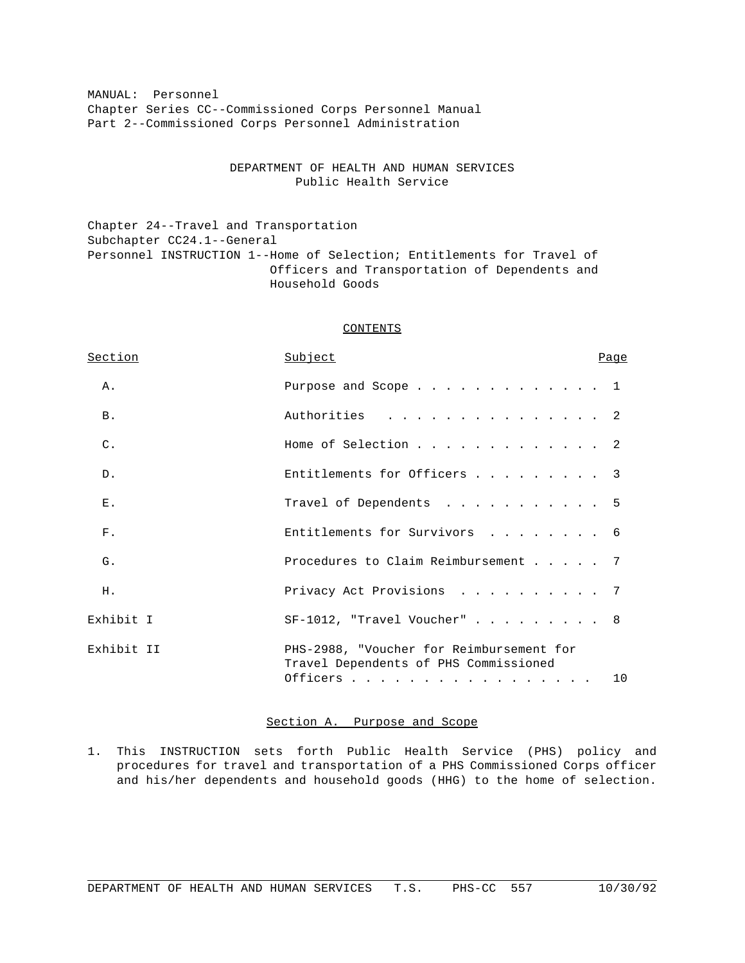MANUAL: Personnel Chapter Series CC--Commissioned Corps Personnel Manual Part 2--Commissioned Corps Personnel Administration

# DEPARTMENT OF HEALTH AND HUMAN SERVICES Public Health Service

Chapter 24--Travel and Transportation Subchapter CC24.1--General Personnel INSTRUCTION 1--Home of Selection; Entitlements for Travel of Officers and Transportation of Dependents and Household Goods

### CONTENTS

| Section        | Subject                                                                                          | Page |
|----------------|--------------------------------------------------------------------------------------------------|------|
| Α.             | Purpose and Scope 1                                                                              |      |
| <b>B.</b>      | . 2<br>Authorities                                                                               |      |
| $\mathsf{C}$ . | Home of Selection 2                                                                              |      |
| $D$ .          | Entitlements for Officers 3                                                                      |      |
| $E$ .          | Travel of Dependents 5                                                                           |      |
| $F$ .          | Entitlements for Survivors 6                                                                     |      |
| G.             | Procedures to Claim Reimbursement 7                                                              |      |
| H.             | Privacy Act Provisions 7                                                                         |      |
| Exhibit I      | $SF-1012$ , "Travel Voucher" 8                                                                   |      |
| Exhibit II     | PHS-2988, "Voucher for Reimbursement for<br>Travel Dependents of PHS Commissioned<br>Officers 10 |      |

#### Section A. Purpose and Scope

1. This INSTRUCTION sets forth Public Health Service (PHS) policy and procedures for travel and transportation of a PHS Commissioned Corps officer and his/her dependents and household goods (HHG) to the home of selection.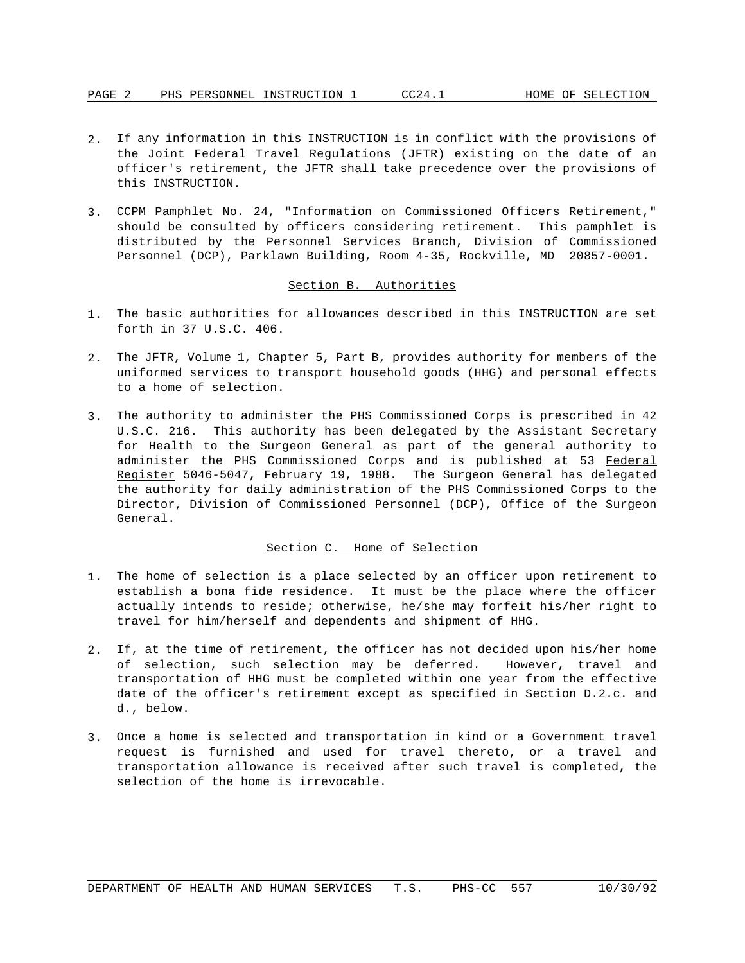- 2. If any information in this INSTRUCTION is in conflict with the provisions of the Joint Federal Travel Regulations (JFTR) existing on the date of an officer's retirement, the JFTR shall take precedence over the provisions of this INSTRUCTION.
- 3. CCPM Pamphlet No. 24, "Information on Commissioned Officers Retirement," should be consulted by officers considering retirement. This pamphlet is distributed by the Personnel Services Branch, Division of Commissioned Personnel (DCP), Parklawn Building, Room 4-35, Rockville, MD 20857-0001.

### Section B. Authorities

- 1. The basic authorities for allowances described in this INSTRUCTION are set forth in 37 U.S.C. 406.
- 2. The JFTR, Volume 1, Chapter 5, Part B, provides authority for members of the uniformed services to transport household goods (HHG) and personal effects to a home of selection.
- 3. The authority to administer the PHS Commissioned Corps is prescribed in 42 U.S.C. 216. This authority has been delegated by the Assistant Secretary for Health to the Surgeon General as part of the general authority to administer the PHS Commissioned Corps and is published at 53 Federal Register 5046-5047, February 19, 1988. The Surgeon General has delegated the authority for daily administration of the PHS Commissioned Corps to the Director, Division of Commissioned Personnel (DCP), Office of the Surgeon General.

### Section C. Home of Selection

- 1. The home of selection is a place selected by an officer upon retirement to establish a bona fide residence. It must be the place where the officer actually intends to reside; otherwise, he/she may forfeit his/her right to travel for him/herself and dependents and shipment of HHG.
- 2. If, at the time of retirement, the officer has not decided upon his/her home of selection, such selection may be deferred. However, travel and transportation of HHG must be completed within one year from the effective date of the officer's retirement except as specified in Section D.2.c. and d., below.
- 3. Once a home is selected and transportation in kind or a Government travel request is furnished and used for travel thereto, or a travel and transportation allowance is received after such travel is completed, the selection of the home is irrevocable.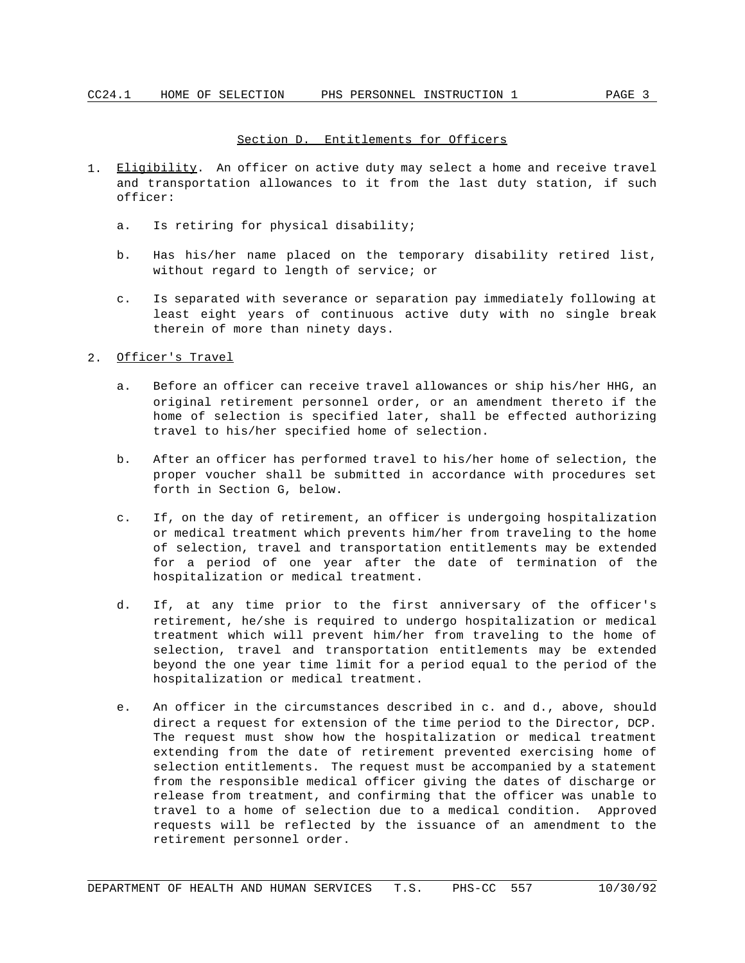### Section D. Entitlements for Officers

- 1. Eligibility. An officer on active duty may select a home and receive travel and transportation allowances to it from the last duty station, if such officer:
	- a. Is retiring for physical disability;
	- b. Has his/her name placed on the temporary disability retired list, without regard to length of service; or
	- c. Is separated with severance or separation pay immediately following at least eight years of continuous active duty with no single break therein of more than ninety days.

## 2. Officer's Travel

- a. Before an officer can receive travel allowances or ship his/her HHG, an original retirement personnel order, or an amendment thereto if the home of selection is specified later, shall be effected authorizing travel to his/her specified home of selection.
- b. After an officer has performed travel to his/her home of selection, the proper voucher shall be submitted in accordance with procedures set forth in Section G, below.
- c. If, on the day of retirement, an officer is undergoing hospitalization or medical treatment which prevents him/her from traveling to the home of selection, travel and transportation entitlements may be extended for a period of one year after the date of termination of the hospitalization or medical treatment.
- d. If, at any time prior to the first anniversary of the officer's retirement, he/she is required to undergo hospitalization or medical treatment which will prevent him/her from traveling to the home of selection, travel and transportation entitlements may be extended beyond the one year time limit for a period equal to the period of the hospitalization or medical treatment.
- e. An officer in the circumstances described in c. and d., above, should direct a request for extension of the time period to the Director, DCP. The request must show how the hospitalization or medical treatment extending from the date of retirement prevented exercising home of selection entitlements. The request must be accompanied by a statement from the responsible medical officer giving the dates of discharge or release from treatment, and confirming that the officer was unable to travel to a home of selection due to a medical condition. Approved requests will be reflected by the issuance of an amendment to the retirement personnel order.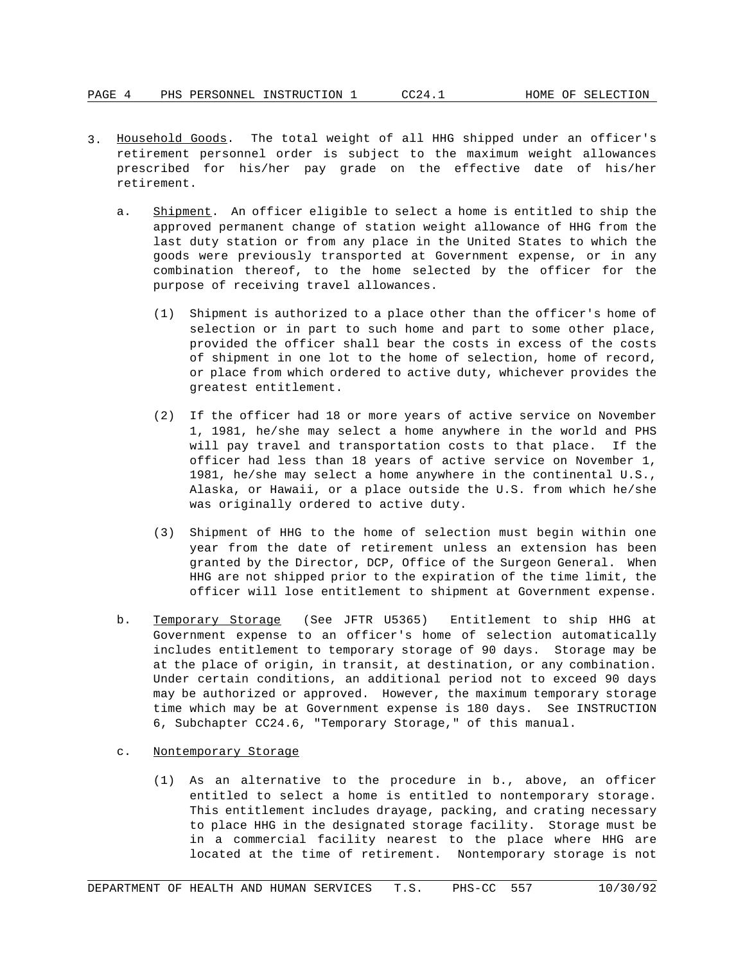- 3. Household Goods. The total weight of all HHG shipped under an officer's retirement personnel order is subject to the maximum weight allowances prescribed for his/her pay grade on the effective date of his/her retirement.
	- a. Shipment. An officer eligible to select a home is entitled to ship the approved permanent change of station weight allowance of HHG from the last duty station or from any place in the United States to which the goods were previously transported at Government expense, or in any combination thereof, to the home selected by the officer for the purpose of receiving travel allowances.
		- (1) Shipment is authorized to a place other than the officer's home of selection or in part to such home and part to some other place, provided the officer shall bear the costs in excess of the costs of shipment in one lot to the home of selection, home of record, or place from which ordered to active duty, whichever provides the greatest entitlement.
		- (2) If the officer had 18 or more years of active service on November 1, 1981, he/she may select a home anywhere in the world and PHS will pay travel and transportation costs to that place. If the officer had less than 18 years of active service on November 1, 1981, he/she may select a home anywhere in the continental U.S., Alaska, or Hawaii, or a place outside the U.S. from which he/she was originally ordered to active duty.
		- (3) Shipment of HHG to the home of selection must begin within one year from the date of retirement unless an extension has been granted by the Director, DCP, Office of the Surgeon General. When HHG are not shipped prior to the expiration of the time limit, the officer will lose entitlement to shipment at Government expense.
	- b. Temporary Storage (See JFTR U5365) Entitlement to ship HHG at Government expense to an officer's home of selection automatically includes entitlement to temporary storage of 90 days. Storage may be at the place of origin, in transit, at destination, or any combination. Under certain conditions, an additional period not to exceed 90 days may be authorized or approved. However, the maximum temporary storage time which may be at Government expense is 180 days. See INSTRUCTION 6, Subchapter CC24.6, "Temporary Storage," of this manual.
	- c. Nontemporary Storage
		- (1) As an alternative to the procedure in b., above, an officer entitled to select a home is entitled to nontemporary storage. This entitlement includes drayage, packing, and crating necessary to place HHG in the designated storage facility. Storage must be in a commercial facility nearest to the place where HHG are located at the time of retirement. Nontemporary storage is not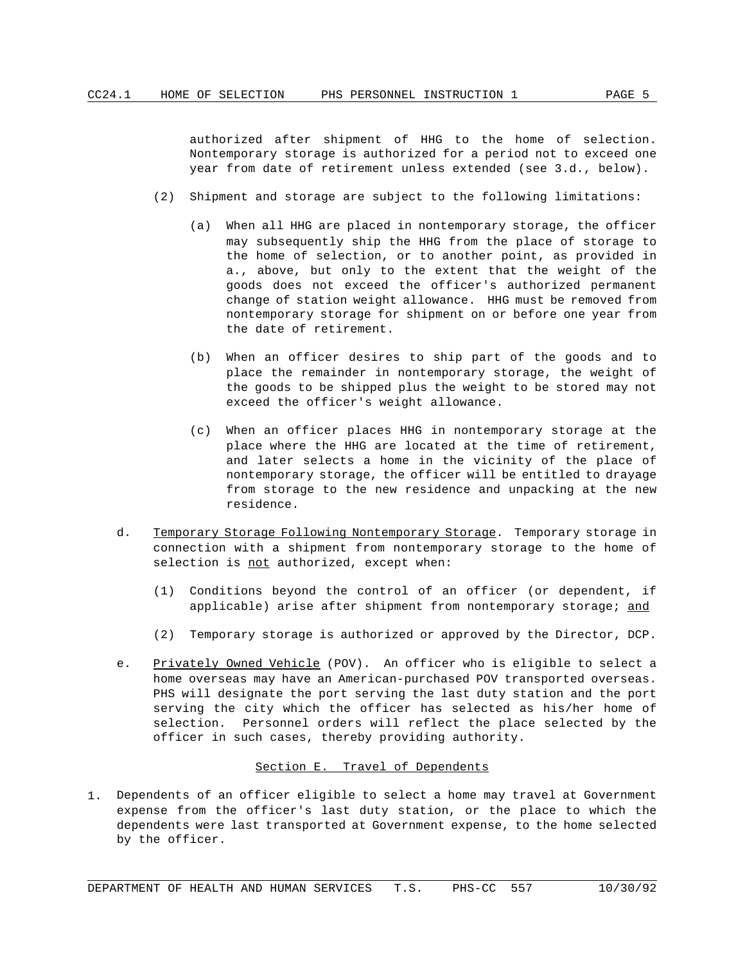authorized after shipment of HHG to the home of selection. Nontemporary storage is authorized for a period not to exceed one year from date of retirement unless extended (see 3.d., below).

- (2) Shipment and storage are subject to the following limitations:
	- (a) When all HHG are placed in nontemporary storage, the officer may subsequently ship the HHG from the place of storage to the home of selection, or to another point, as provided in a., above, but only to the extent that the weight of the goods does not exceed the officer's authorized permanent change of station weight allowance. HHG must be removed from nontemporary storage for shipment on or before one year from the date of retirement.
	- (b) When an officer desires to ship part of the goods and to place the remainder in nontemporary storage, the weight of the goods to be shipped plus the weight to be stored may not exceed the officer's weight allowance.
	- (c) When an officer places HHG in nontemporary storage at the place where the HHG are located at the time of retirement, and later selects a home in the vicinity of the place of nontemporary storage, the officer will be entitled to drayage from storage to the new residence and unpacking at the new residence.
- d. Temporary Storage Following Nontemporary Storage. Temporary storage in connection with a shipment from nontemporary storage to the home of selection is not authorized, except when:
	- (1) Conditions beyond the control of an officer (or dependent, if applicable) arise after shipment from nontemporary storage; and
	- (2) Temporary storage is authorized or approved by the Director, DCP.
- e. Privately Owned Vehicle (POV). An officer who is eligible to select a home overseas may have an American-purchased POV transported overseas. PHS will designate the port serving the last duty station and the port serving the city which the officer has selected as his/her home of selection. Personnel orders will reflect the place selected by the officer in such cases, thereby providing authority.

#### Section E. Travel of Dependents

1. Dependents of an officer eligible to select a home may travel at Government expense from the officer's last duty station, or the place to which the dependents were last transported at Government expense, to the home selected by the officer.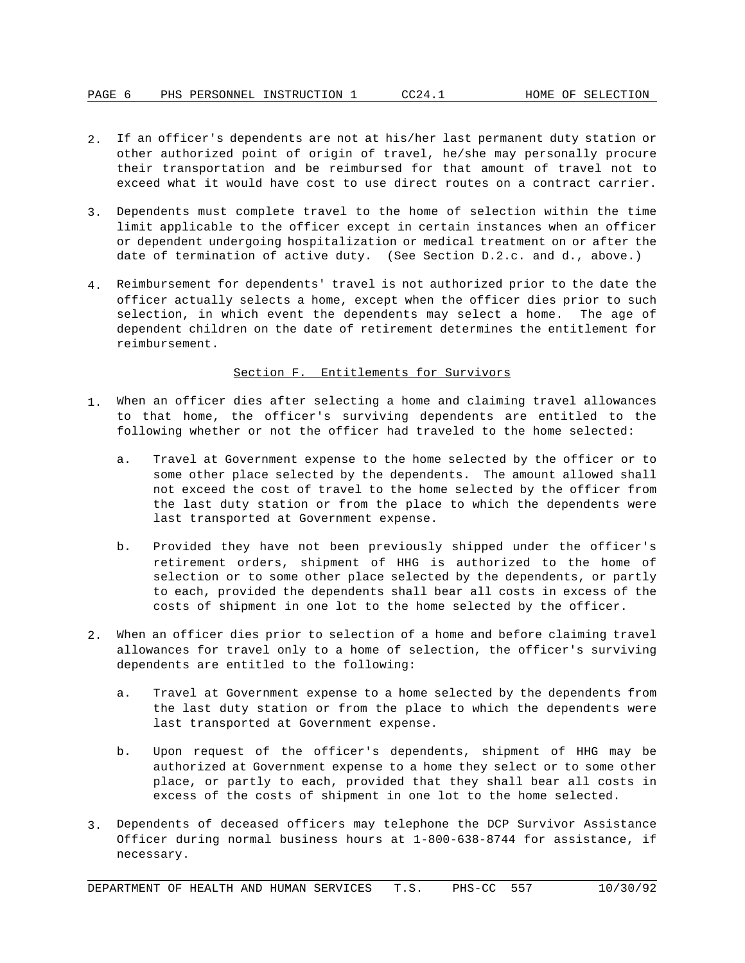- 2. If an officer's dependents are not at his/her last permanent duty station or other authorized point of origin of travel, he/she may personally procure their transportation and be reimbursed for that amount of travel not to exceed what it would have cost to use direct routes on a contract carrier.
- 3. Dependents must complete travel to the home of selection within the time limit applicable to the officer except in certain instances when an officer or dependent undergoing hospitalization or medical treatment on or after the date of termination of active duty. (See Section D.2.c. and d., above.)
- 4. Reimbursement for dependents' travel is not authorized prior to the date the officer actually selects a home, except when the officer dies prior to such selection, in which event the dependents may select a home. The age of dependent children on the date of retirement determines the entitlement for reimbursement.

### Section F. Entitlements for Survivors

- 1. When an officer dies after selecting a home and claiming travel allowances to that home, the officer's surviving dependents are entitled to the following whether or not the officer had traveled to the home selected:
	- a. Travel at Government expense to the home selected by the officer or to some other place selected by the dependents. The amount allowed shall not exceed the cost of travel to the home selected by the officer from the last duty station or from the place to which the dependents were last transported at Government expense.
	- b. Provided they have not been previously shipped under the officer's retirement orders, shipment of HHG is authorized to the home of selection or to some other place selected by the dependents, or partly to each, provided the dependents shall bear all costs in excess of the costs of shipment in one lot to the home selected by the officer.
- 2. When an officer dies prior to selection of a home and before claiming travel allowances for travel only to a home of selection, the officer's surviving dependents are entitled to the following:
	- a. Travel at Government expense to a home selected by the dependents from the last duty station or from the place to which the dependents were last transported at Government expense.
	- b. Upon request of the officer's dependents, shipment of HHG may be authorized at Government expense to a home they select or to some other place, or partly to each, provided that they shall bear all costs in excess of the costs of shipment in one lot to the home selected.
- 3. Dependents of deceased officers may telephone the DCP Survivor Assistance Officer during normal business hours at 1-800-638-8744 for assistance, if necessary.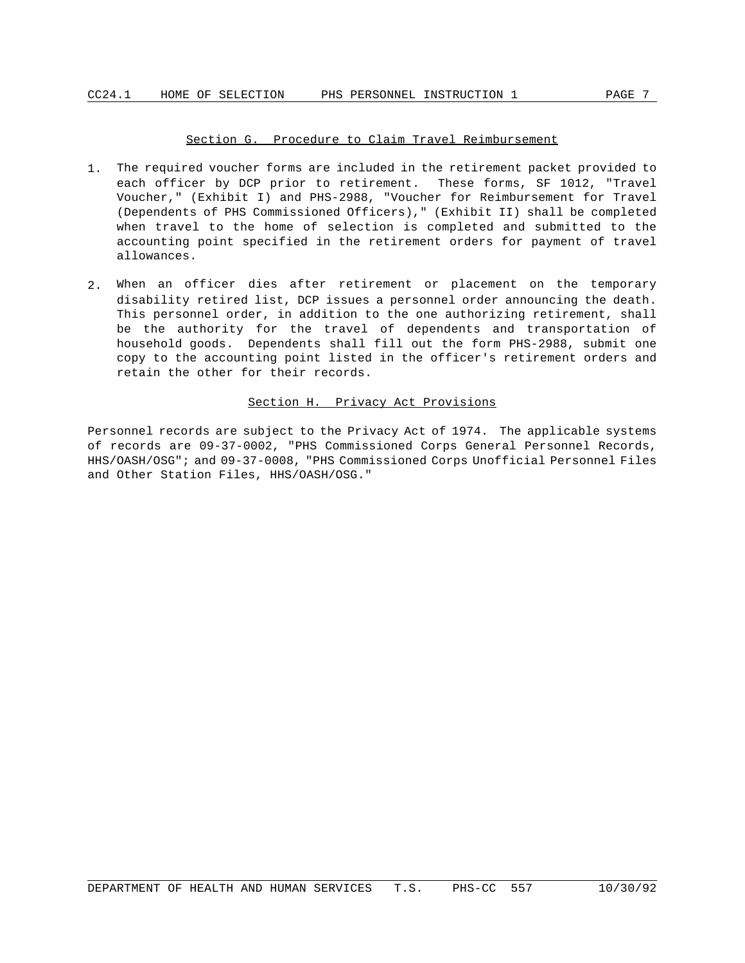### Section G. Procedure to Claim Travel Reimbursement

- 1. The required voucher forms are included in the retirement packet provided to each officer by DCP prior to retirement. These forms, SF 1012, "Travel Voucher," (Exhibit I) and PHS-2988, "Voucher for Reimbursement for Travel (Dependents of PHS Commissioned Officers)," (Exhibit II) shall be completed when travel to the home of selection is completed and submitted to the accounting point specified in the retirement orders for payment of travel allowances.
- 2. When an officer dies after retirement or placement on the temporary disability retired list, DCP issues a personnel order announcing the death. This personnel order, in addition to the one authorizing retirement, shall be the authority for the travel of dependents and transportation of household goods. Dependents shall fill out the form PHS-2988, submit one copy to the accounting point listed in the officer's retirement orders and retain the other for their records.

### Section H. Privacy Act Provisions

Personnel records are subject to the Privacy Act of 1974. The applicable systems of records are 09-37-0002, "PHS Commissioned Corps General Personnel Records, HHS/OASH/OSG"; and 09-37-0008, "PHS Commissioned Corps Unofficial Personnel Files and Other Station Files, HHS/OASH/OSG."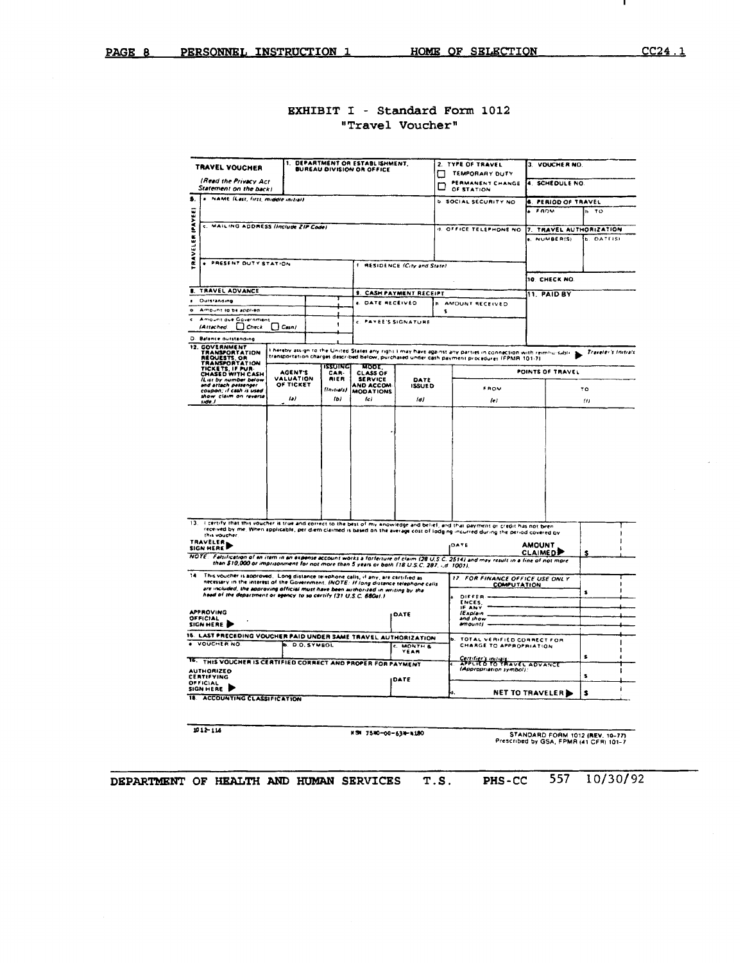л.

# EXHIBIT I - Standard Form 1012 "Travel Voucher"

|           | TRAVEL VOUCHER                                                                                                                                                            | ۹.              | <b>BUREAU DIVISION OR OFFICE</b> | DEPARTMENT OR ESTABLISHMENT.      |                                     |   | 2. TYPE OF TRAVEL                                                                                                                                                                                                                                                      | 3. VOUCHER NO.                   |                     |
|-----------|---------------------------------------------------------------------------------------------------------------------------------------------------------------------------|-----------------|----------------------------------|-----------------------------------|-------------------------------------|---|------------------------------------------------------------------------------------------------------------------------------------------------------------------------------------------------------------------------------------------------------------------------|----------------------------------|---------------------|
|           | (Read the Privacy Act                                                                                                                                                     |                 |                                  |                                   |                                     |   | TEMPORARY DUTY                                                                                                                                                                                                                                                         |                                  |                     |
|           | Statement on the back)                                                                                                                                                    |                 |                                  |                                   |                                     | m | PERMANENT CHANGE<br>OF STATION                                                                                                                                                                                                                                         | 4. SCHEDULE NO.                  |                     |
| S.        | NAME (Last, first, middle initial)                                                                                                                                        |                 |                                  |                                   |                                     |   | <b>b. SOCIAL SECURITY NO</b>                                                                                                                                                                                                                                           | <b>6. PERIOD OF TRAVEL</b>       |                     |
|           |                                                                                                                                                                           |                 |                                  |                                   |                                     |   |                                                                                                                                                                                                                                                                        | FROM                             | h TO                |
| IPAVEE    |                                                                                                                                                                           |                 |                                  |                                   |                                     |   |                                                                                                                                                                                                                                                                        |                                  |                     |
|           | c. MAILING ADDRESS linclude ZIP Codel                                                                                                                                     |                 |                                  |                                   |                                     |   | <b>II. OFFICE TELEPHONE NO</b>                                                                                                                                                                                                                                         | 7. TRAVEL AUTHORIZATION          |                     |
| RAVELER   |                                                                                                                                                                           |                 |                                  |                                   |                                     |   |                                                                                                                                                                                                                                                                        | <b>e. NUMBER(S)</b>              | <b>b. DATTISI</b>   |
|           |                                                                                                                                                                           |                 |                                  |                                   |                                     |   |                                                                                                                                                                                                                                                                        |                                  |                     |
|           | <b>. PRESENT DUTY STATION</b>                                                                                                                                             |                 |                                  |                                   | <b>I RESIDENCE (City and State)</b> |   |                                                                                                                                                                                                                                                                        |                                  |                     |
|           |                                                                                                                                                                           |                 |                                  |                                   |                                     |   |                                                                                                                                                                                                                                                                        |                                  |                     |
|           |                                                                                                                                                                           |                 |                                  |                                   |                                     |   |                                                                                                                                                                                                                                                                        | 10. CHECK NO.                    |                     |
| ₿.        | TRAVEL ADVANCE                                                                                                                                                            |                 |                                  |                                   | <b>9. CASH PAYMENT RECEIPT</b>      |   |                                                                                                                                                                                                                                                                        | <b>11. PAID BY</b>               |                     |
|           | <b>Outstanding</b>                                                                                                                                                        |                 |                                  | <b>4. DATE RECEIVED</b>           |                                     |   | <b>h</b> AMOUNT RECEIVED                                                                                                                                                                                                                                               |                                  |                     |
| $\bullet$ | Amount to be applied<br>Amount due Government                                                                                                                             |                 |                                  |                                   |                                     | s |                                                                                                                                                                                                                                                                        |                                  |                     |
|           | $\Box$ Check<br>(Attached                                                                                                                                                 | $\bigcup$ Casni | ч                                | <b>C. PAYEE'S SIGNATURE</b>       |                                     |   |                                                                                                                                                                                                                                                                        |                                  |                     |
|           | D. Balance outstanding                                                                                                                                                    |                 |                                  |                                   |                                     |   |                                                                                                                                                                                                                                                                        |                                  |                     |
|           | 12. GOVERNMENT                                                                                                                                                            |                 |                                  |                                   |                                     |   |                                                                                                                                                                                                                                                                        |                                  |                     |
|           | <b>TRANSPORTATION</b><br>REQUESTS OR                                                                                                                                      |                 |                                  |                                   |                                     |   | I hereby assign to the United States any right I may have against any parties in connection with reimbursable.<br>transportation charges described below, purchased under cash payment procedures (FPMR 301-7)                                                         |                                  | Traveler's Initials |
|           | <b>TRANSPORTATION</b><br>TICKETS, IF PUR-                                                                                                                                 | <b>AGENT'S</b>  | <b>ISSUING</b>                   | <b>MODE</b>                       |                                     |   |                                                                                                                                                                                                                                                                        | POINTS OF TRAVEL                 |                     |
|           | CHASED WITH CASH<br>IList by number below                                                                                                                                 | VALUATION       | CAR-<br><b>AIFR</b>              | <b>CLASS OF</b><br><b>SERVICE</b> | DATE                                |   |                                                                                                                                                                                                                                                                        |                                  |                     |
|           | and attach passenger<br>coupon; if cash is used                                                                                                                           | OF TICKET       | <i><b>Housials!</b></i>          | AND ACCOM<br><b>MODATIONS</b>     | <b>ISSUED</b>                       |   | <b>FROM</b>                                                                                                                                                                                                                                                            |                                  | ٢o                  |
|           | show claim on reverse<br>side.)                                                                                                                                           | lэl             | Ib)                              | $l$ c $l$                         | ldi                                 |   | 10 <sub>1</sub>                                                                                                                                                                                                                                                        |                                  | $_{III}$            |
|           |                                                                                                                                                                           |                 |                                  |                                   |                                     |   |                                                                                                                                                                                                                                                                        |                                  |                     |
|           |                                                                                                                                                                           |                 |                                  |                                   |                                     |   |                                                                                                                                                                                                                                                                        |                                  |                     |
|           |                                                                                                                                                                           |                 |                                  |                                   |                                     |   |                                                                                                                                                                                                                                                                        |                                  |                     |
|           |                                                                                                                                                                           |                 |                                  |                                   |                                     |   |                                                                                                                                                                                                                                                                        |                                  |                     |
|           |                                                                                                                                                                           |                 |                                  |                                   |                                     |   |                                                                                                                                                                                                                                                                        |                                  |                     |
|           |                                                                                                                                                                           |                 |                                  |                                   |                                     |   |                                                                                                                                                                                                                                                                        |                                  |                     |
|           |                                                                                                                                                                           |                 |                                  |                                   |                                     |   |                                                                                                                                                                                                                                                                        |                                  |                     |
|           |                                                                                                                                                                           |                 |                                  |                                   |                                     |   |                                                                                                                                                                                                                                                                        |                                  |                     |
|           |                                                                                                                                                                           |                 |                                  |                                   |                                     |   |                                                                                                                                                                                                                                                                        |                                  |                     |
|           |                                                                                                                                                                           |                 |                                  |                                   |                                     |   | 13. I certify that this voucher is true and correct to the best of my anowledge and belief, and that payment or credit has not been<br>received by me, When applicable, per diem claimed is based on the average cost of lodging incurred during the period covered by |                                  |                     |
|           | this voucher.<br><b>TRAVELER</b>                                                                                                                                          |                 |                                  |                                   |                                     |   |                                                                                                                                                                                                                                                                        |                                  |                     |
|           | <b>SIGN HERE</b>                                                                                                                                                          |                 |                                  |                                   |                                     |   | <b>DATE</b>                                                                                                                                                                                                                                                            | <b>AMOUNT</b><br><b>CLAIMEDP</b> | s                   |
|           | than \$10,000 or imprisonment for not more than 5 years or both (18 U.S.C. 287, Ld. 1001).                                                                                |                 |                                  |                                   |                                     |   | NOTE: Falsification of an item in an expense account works a forfeiture of claim (28 U.S.C. 2514) and may result in a fine of not more                                                                                                                                 |                                  |                     |
| 14        |                                                                                                                                                                           |                 |                                  |                                   |                                     |   |                                                                                                                                                                                                                                                                        |                                  |                     |
|           | This voucher is approved. Long distance telephone calls, if any, are cartified as<br>necessary in the interest of the Government. INOTE: If long distance telephone calls |                 |                                  |                                   |                                     |   | 17. FOR FINANCE OFFICE USE ONLY<br><b>COMPUTATION</b>                                                                                                                                                                                                                  |                                  |                     |
|           | are included, the approving official must have been authorized in writing by the<br>head of the department or agency to so certify (31 U.S.C. 680a).)                     |                 |                                  |                                   |                                     |   | <b>DIFFER</b>                                                                                                                                                                                                                                                          |                                  | \$                  |
|           |                                                                                                                                                                           |                 |                                  |                                   |                                     |   | <b>ENCES</b>                                                                                                                                                                                                                                                           |                                  |                     |
|           | <b>APPROVING</b>                                                                                                                                                          |                 |                                  |                                   | DATE                                |   | IF ANY<br><i><b>IExplain</b></i>                                                                                                                                                                                                                                       |                                  |                     |
|           | OFFICIAL<br>SIGN HERE                                                                                                                                                     |                 |                                  |                                   |                                     |   | and show<br>amounti                                                                                                                                                                                                                                                    |                                  |                     |
|           | 15. LAST PRECEDING VOUCHER PAID UNDER SAME TRAVEL AUTHORIZATION                                                                                                           |                 |                                  |                                   |                                     |   |                                                                                                                                                                                                                                                                        |                                  |                     |
|           | VOUCHER NO.                                                                                                                                                               |                 | <b>b. D.O. SYMBOL</b>            |                                   | <b>C. MONTH &amp;</b>               |   | <b>b. TOTAL VERIFIED CORRECT FOR</b><br>CHARGE TO APPROPRIATION                                                                                                                                                                                                        |                                  |                     |
|           |                                                                                                                                                                           |                 |                                  |                                   | YEAR                                |   |                                                                                                                                                                                                                                                                        |                                  | s                   |
|           | 16. THIS VOUCHER IS CERTIFIED CORRECT AND PROPER FOR PAYMENT                                                                                                              |                 |                                  |                                   |                                     |   | Certifier's initials.<br>APPLIED TO TRAVEL ADVANCE<br>(Appropriation symbol):                                                                                                                                                                                          |                                  |                     |
|           | <b>AUTHORIZED</b><br><b>CERTIFYING</b>                                                                                                                                    |                 |                                  |                                   | DATE                                |   |                                                                                                                                                                                                                                                                        |                                  | s.                  |
|           | OFFICIAL<br>SIGN HERE                                                                                                                                                     |                 |                                  |                                   |                                     |   |                                                                                                                                                                                                                                                                        |                                  |                     |
|           | 18. ACCOUNTING CLASSIFICATION                                                                                                                                             |                 |                                  |                                   |                                     |   |                                                                                                                                                                                                                                                                        | <b>NET TO TRAVELER</b>           | \$                  |

 $1012 - 116$ 

KSN 7540-00-634-4180

STANDARD FORM 1012 (REV. 10-77)<br>Prescribed by GSA, FPMR (41 CFR) 101-7

557 10/30/92 **PHS-CC** DEPARTMENT OF HEALTH AND HUMAN SERVICES  $T.S.$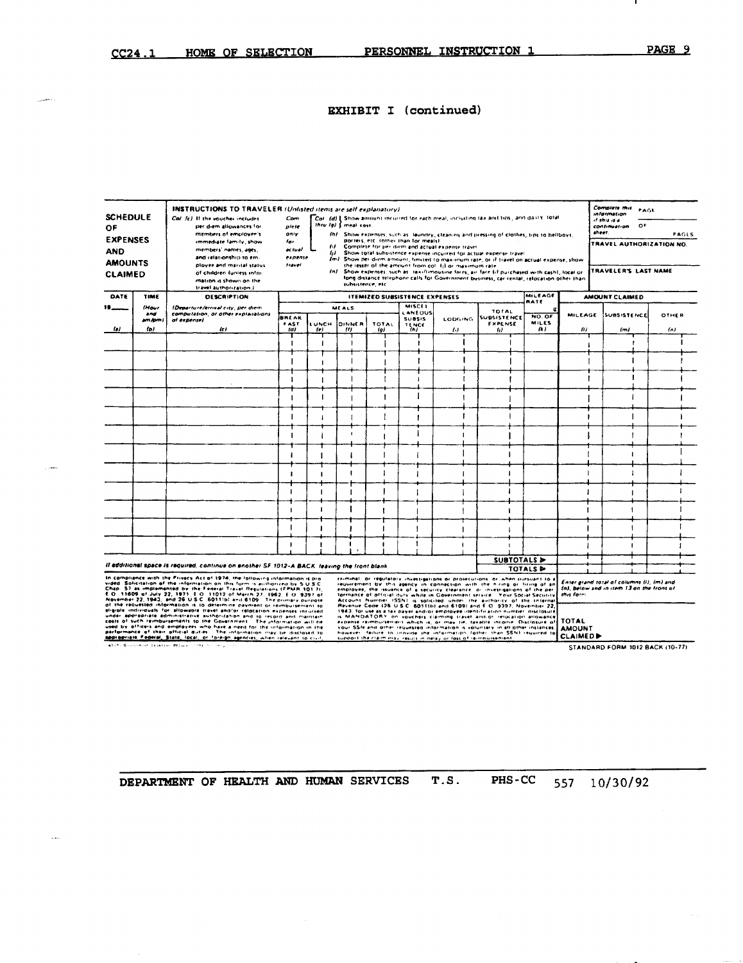.

# **EXHIBIT I** (continued)

| <b>SCHEDULE</b><br>ΟF<br><b>EXPENSES</b><br><b>AND</b><br><b>AMOUNTS</b> |                                        | INSTRUCTIONS TO TRAVELER (Unlisted items are self explanatory)<br>Call fell It the voucher includes<br>per diem allowances for<br>members of employer's<br>immediate family, show<br>members' names, ages.<br>and relationship to em-<br>ployee and marital status.                                                                                                                                                                                                                                                                                                                                                                                                                                                                                                                                                                                                                                                                                                 | Com<br>piete<br>07/r<br>tor<br>actual<br>expense<br>travel | thru (g) { meal cost<br>64<br>" |                                      | porters, etc. (other than for meals). |                                                 | Col. (d) Show amount incurred for each nieal, including tax and tips, and daily. total<br>(h) Show expenses, such as llaundry, cleaning and pressing of clothes, tips to hellboys,<br>Complete for per diem and actual expense travel<br>Show total subsistence expense incurred for actual expense travel<br>Im1. Show per diem amount, timited to maximum rate, or if travel on actual expense, show<br>the lesser of the amount from coll (j) or maximum rate                                                                                                                                                                                                                                                                                                                                                                                                                 |                                              |                                |                                                               | Complete this<br>information.<br>of this is a<br>o۴<br>continuation.<br>sheet.<br>TRAVEL AUTHORIZATION NO. | PAGE                | PAGES |
|--------------------------------------------------------------------------|----------------------------------------|---------------------------------------------------------------------------------------------------------------------------------------------------------------------------------------------------------------------------------------------------------------------------------------------------------------------------------------------------------------------------------------------------------------------------------------------------------------------------------------------------------------------------------------------------------------------------------------------------------------------------------------------------------------------------------------------------------------------------------------------------------------------------------------------------------------------------------------------------------------------------------------------------------------------------------------------------------------------|------------------------------------------------------------|---------------------------------|--------------------------------------|---------------------------------------|-------------------------------------------------|----------------------------------------------------------------------------------------------------------------------------------------------------------------------------------------------------------------------------------------------------------------------------------------------------------------------------------------------------------------------------------------------------------------------------------------------------------------------------------------------------------------------------------------------------------------------------------------------------------------------------------------------------------------------------------------------------------------------------------------------------------------------------------------------------------------------------------------------------------------------------------|----------------------------------------------|--------------------------------|---------------------------------------------------------------|------------------------------------------------------------------------------------------------------------|---------------------|-------|
| <b>CLAIMED</b>                                                           |                                        | of children funtess infai-<br>mation is shown on the<br>travel authorization.)                                                                                                                                                                                                                                                                                                                                                                                                                                                                                                                                                                                                                                                                                                                                                                                                                                                                                      |                                                            |                                 |                                      | subsistence, etc.                     |                                                 | (n) Show expenses, such as itaxi/limousine fares, air fare fif purchased with cash), local or<br>long distance telephone calls for Government business, car rental, relocation other than                                                                                                                                                                                                                                                                                                                                                                                                                                                                                                                                                                                                                                                                                        |                                              |                                |                                                               | TRAVELER'S LAST NAME                                                                                       |                     |       |
| DATE                                                                     | TIME                                   | <b>DESCRIPTION</b>                                                                                                                                                                                                                                                                                                                                                                                                                                                                                                                                                                                                                                                                                                                                                                                                                                                                                                                                                  |                                                            |                                 |                                      | <b>ITEMIZED SUBSISTENCE EXPENSES</b>  | MISCEL                                          |                                                                                                                                                                                                                                                                                                                                                                                                                                                                                                                                                                                                                                                                                                                                                                                                                                                                                  |                                              | MILEAGE<br>RATE                |                                                               | AMOUNT CLAIMED                                                                                             |                     |       |
| to i                                                                     | <b>IHour</b><br>and<br>am Jorn)<br>fb) | (Departure/arrival city, per diem<br>computation, or other explaiations<br>af expensel<br>$\iota$                                                                                                                                                                                                                                                                                                                                                                                                                                                                                                                                                                                                                                                                                                                                                                                                                                                                   | <b>BREAK</b><br><b>FAST</b><br>(d)                         | <b>UNCH</b><br>te)              | <b>MEALS</b><br><b>DINNER</b><br>111 | TOTAL<br>روا                          | LANEOUS<br><b>SUBSIS</b><br><b>TENCE</b><br>(n) | LODGING.<br>$\left( \cdot \right)$                                                                                                                                                                                                                                                                                                                                                                                                                                                                                                                                                                                                                                                                                                                                                                                                                                               | TOTAL<br>SUBSISTENCE<br><b>FXPENSE</b><br>61 | NO. OF<br><b>MILES</b><br>14 J | MILEAGE<br>m                                                  | <b>SUBSISTENCE</b><br>(m)                                                                                  | <b>OTHER</b><br>(n) |       |
|                                                                          |                                        |                                                                                                                                                                                                                                                                                                                                                                                                                                                                                                                                                                                                                                                                                                                                                                                                                                                                                                                                                                     |                                                            | -1                              |                                      |                                       |                                                 |                                                                                                                                                                                                                                                                                                                                                                                                                                                                                                                                                                                                                                                                                                                                                                                                                                                                                  |                                              |                                |                                                               |                                                                                                            |                     |       |
|                                                                          |                                        |                                                                                                                                                                                                                                                                                                                                                                                                                                                                                                                                                                                                                                                                                                                                                                                                                                                                                                                                                                     |                                                            | $\blacksquare$                  |                                      |                                       |                                                 |                                                                                                                                                                                                                                                                                                                                                                                                                                                                                                                                                                                                                                                                                                                                                                                                                                                                                  |                                              |                                |                                                               |                                                                                                            |                     |       |
|                                                                          |                                        |                                                                                                                                                                                                                                                                                                                                                                                                                                                                                                                                                                                                                                                                                                                                                                                                                                                                                                                                                                     |                                                            |                                 |                                      |                                       |                                                 |                                                                                                                                                                                                                                                                                                                                                                                                                                                                                                                                                                                                                                                                                                                                                                                                                                                                                  |                                              |                                |                                                               |                                                                                                            |                     |       |
|                                                                          |                                        |                                                                                                                                                                                                                                                                                                                                                                                                                                                                                                                                                                                                                                                                                                                                                                                                                                                                                                                                                                     |                                                            | $\mathbf{I}$                    |                                      |                                       |                                                 |                                                                                                                                                                                                                                                                                                                                                                                                                                                                                                                                                                                                                                                                                                                                                                                                                                                                                  |                                              |                                |                                                               |                                                                                                            |                     |       |
|                                                                          |                                        |                                                                                                                                                                                                                                                                                                                                                                                                                                                                                                                                                                                                                                                                                                                                                                                                                                                                                                                                                                     |                                                            |                                 |                                      |                                       |                                                 |                                                                                                                                                                                                                                                                                                                                                                                                                                                                                                                                                                                                                                                                                                                                                                                                                                                                                  |                                              |                                |                                                               |                                                                                                            |                     |       |
|                                                                          |                                        |                                                                                                                                                                                                                                                                                                                                                                                                                                                                                                                                                                                                                                                                                                                                                                                                                                                                                                                                                                     |                                                            |                                 |                                      |                                       |                                                 |                                                                                                                                                                                                                                                                                                                                                                                                                                                                                                                                                                                                                                                                                                                                                                                                                                                                                  |                                              |                                |                                                               |                                                                                                            |                     |       |
|                                                                          |                                        |                                                                                                                                                                                                                                                                                                                                                                                                                                                                                                                                                                                                                                                                                                                                                                                                                                                                                                                                                                     |                                                            |                                 |                                      |                                       |                                                 |                                                                                                                                                                                                                                                                                                                                                                                                                                                                                                                                                                                                                                                                                                                                                                                                                                                                                  |                                              |                                |                                                               |                                                                                                            |                     |       |
|                                                                          |                                        |                                                                                                                                                                                                                                                                                                                                                                                                                                                                                                                                                                                                                                                                                                                                                                                                                                                                                                                                                                     | п                                                          | 1                               |                                      |                                       |                                                 |                                                                                                                                                                                                                                                                                                                                                                                                                                                                                                                                                                                                                                                                                                                                                                                                                                                                                  |                                              |                                |                                                               |                                                                                                            |                     |       |
|                                                                          |                                        |                                                                                                                                                                                                                                                                                                                                                                                                                                                                                                                                                                                                                                                                                                                                                                                                                                                                                                                                                                     |                                                            |                                 |                                      |                                       |                                                 |                                                                                                                                                                                                                                                                                                                                                                                                                                                                                                                                                                                                                                                                                                                                                                                                                                                                                  |                                              |                                |                                                               |                                                                                                            |                     |       |
|                                                                          |                                        | Il additional space is required, continue on enother SF 1012-A BACK. leaving the front blank                                                                                                                                                                                                                                                                                                                                                                                                                                                                                                                                                                                                                                                                                                                                                                                                                                                                        |                                                            |                                 |                                      |                                       |                                                 |                                                                                                                                                                                                                                                                                                                                                                                                                                                                                                                                                                                                                                                                                                                                                                                                                                                                                  |                                              | SUBTOTALS &                    |                                                               |                                                                                                            |                     |       |
|                                                                          |                                        | In compliance with the Privacy Act of 1974, the following information is pro-<br>vided. Salicitation of the information on this form is authorized by 5 U.S.C.<br>Chap. 57 as implemented by the Feneral Travel Regulations (FPMR 101.7).<br>E.O. 11609 of July 22, 1971. E.O. 11012 of March 27, 1962. E.O. 9397 of<br>November 22, 1943, and 26 U.S.C. 6011 lbl and 6109. The primary purpose<br>of the requested information is to determine payment or reimbursement to<br>eligible individuals for allowable travel and/or relocation expenses incursed.<br>under appropriate administrative authorization and to record and maintain.<br>costs of such reimbursements to the Government. The information will be<br>used by officers and employees who have a need for the information in the<br>partormance of their official duries. The information may be disclosed to<br>appropriate Federal, State, local, or foreign agencies, when relevant to civil, |                                                            |                                 |                                      |                                       |                                                 | criminal, or requistory investigations or protecutions, or when pursuant to a<br>requirement by this agency in connection with the history or firing of an<br>employee, the issuance of a security clearance, or investigations of the per-<br>fermance of official duty while in Government service. Your Social Security<br>Account Number ISSNI is salicited under the authority of the Internal<br>Revenue Code (26 U.S.C. 6011(b) and 6109) and E.O. 9397, November 22,<br>1943, for use as a tax payer and/or employee identification number, risclosure<br>is MANDATORY on vouchers claiming travel and/or relocation allowance<br>expense reimbursement which is, or may be, taxable income. Disclosure of<br>your SSN and other requested information is voluntary in all other instances,<br>however, failure to irrovide the information fother than SSNI required to |                                              | <b>TOTALS &amp;</b>            | this form<br><b>TOTAL</b><br><b>AMOUNT</b><br><b>CLAIMEDD</b> | Enter erand total of columns (i), (m) and<br>(a), below and in item 13 on the front of                     |                     |       |

PHS-CC DEPARTMENT OF HEALTH AND HUMAN SERVICES T.S. 557 10/30/92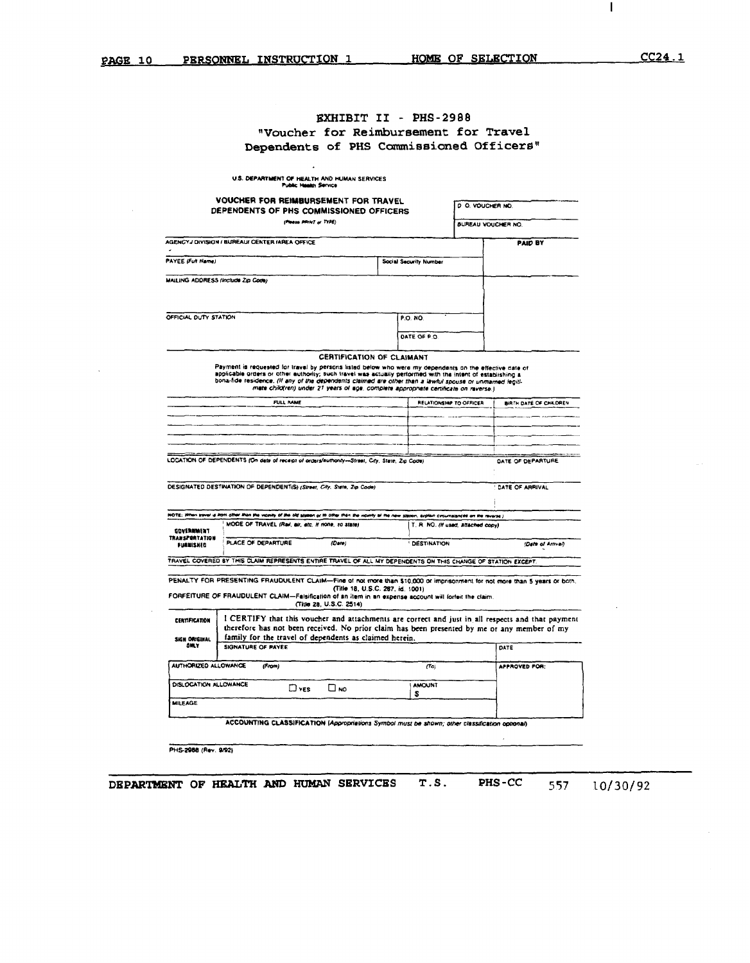$\mathbf{I}$ 

# **EXHIBIT II - PHS-2988** "Voucher for Reimbursement for Travel Dependents of PHS Commissioned Officers"

|                                     | <b>VOUCHER FOR REIMBURSEMENT FOR TRAVEL</b><br>DEPENDENTS OF PHS COMMISSIONED OFFICERS                                                                                                                                                                                                                                              |                                                                                      |                                  | D.O. VOUCHER NO                    |                        |
|-------------------------------------|-------------------------------------------------------------------------------------------------------------------------------------------------------------------------------------------------------------------------------------------------------------------------------------------------------------------------------------|--------------------------------------------------------------------------------------|----------------------------------|------------------------------------|------------------------|
|                                     |                                                                                                                                                                                                                                                                                                                                     | (Please PRINT or TYPE)                                                               |                                  | <b>BUREAU VOUCHER NO.</b>          |                        |
|                                     | AGENCY J DIVISION / BUREAU/ CENTER /AREA OFFICE                                                                                                                                                                                                                                                                                     |                                                                                      |                                  |                                    | <b>PAID BY</b>         |
| PAYEE (Full Name)                   |                                                                                                                                                                                                                                                                                                                                     |                                                                                      | Social Security Number           |                                    |                        |
|                                     | MAILING ADDRESS (Include Zip Code)                                                                                                                                                                                                                                                                                                  |                                                                                      |                                  |                                    |                        |
|                                     |                                                                                                                                                                                                                                                                                                                                     |                                                                                      |                                  |                                    |                        |
|                                     |                                                                                                                                                                                                                                                                                                                                     |                                                                                      |                                  |                                    |                        |
| OFFICIAL DUTY STATION               |                                                                                                                                                                                                                                                                                                                                     |                                                                                      | P.O. NO.                         |                                    |                        |
|                                     |                                                                                                                                                                                                                                                                                                                                     |                                                                                      | DATE OF P.O.                     |                                    |                        |
|                                     |                                                                                                                                                                                                                                                                                                                                     | <b>CERTIFICATION OF CLAIMANT</b>                                                     |                                  |                                    |                        |
|                                     | Payment is requested for travel by persons listed below who were my dependents on the effective date of<br>applicable orders or other authority; such travel was actually performed with the intent of establishing a<br>bona-fide residence. (If any of the dependents claimed are other than a lawful spouse or unmarried legiti- | mate child(ren) under 21 years of age, complete appropriate certificate on raverse.) |                                  |                                    |                        |
|                                     | FULL NAME                                                                                                                                                                                                                                                                                                                           |                                                                                      |                                  | RELATIONSHIP TO OFFICER            | BIRTH DATE OF CHILDREN |
|                                     |                                                                                                                                                                                                                                                                                                                                     |                                                                                      |                                  |                                    |                        |
|                                     |                                                                                                                                                                                                                                                                                                                                     |                                                                                      |                                  |                                    |                        |
|                                     | LOCATION OF DEPENDENTS (On date of receipt of orders/authority-Street, City, State, Zip Code)                                                                                                                                                                                                                                       |                                                                                      |                                  |                                    | DATE OF DEPARTURE      |
|                                     | DESIGNATED DESTINATION OF DEPENDENT(S) (Street, City. State, Zip Code)                                                                                                                                                                                                                                                              |                                                                                      |                                  |                                    | DATE OF ARRIVAL        |
|                                     | HOTE; When travel is limit differ than the viginity of the old station of to other then the videlity of the new station, explain circumstances on the reverse )<br>MODE OF TRAVEL (Rail, air, etc. If none, so state)                                                                                                               |                                                                                      |                                  | T. R. NO. (If used, attached copy) |                        |
| GOVERNMENT<br><b>TRANSPORTATION</b> |                                                                                                                                                                                                                                                                                                                                     |                                                                                      |                                  |                                    |                        |
|                                     | PLACE OF DEPARTURE                                                                                                                                                                                                                                                                                                                  | (Date)                                                                               | <b>DESTINATION</b>               |                                    | (Date of Arrival)      |
| <b>FURNISHED</b>                    |                                                                                                                                                                                                                                                                                                                                     |                                                                                      |                                  |                                    |                        |
|                                     | TRAVEL COVERED BY THIS CLAIM REPRESENTS ENTIRE TRAVEL OF ALL MY DEPENDENTS ON THIS CHANGE OF STATION EXCEPT.                                                                                                                                                                                                                        |                                                                                      |                                  |                                    |                        |
|                                     | PENALTY FOR PRESENTING FRAUDULENT CLAIM-Fine of not more than \$10,000 or imprisonment for not more than 5 years or both.                                                                                                                                                                                                           |                                                                                      |                                  |                                    |                        |
|                                     | FORFEITURE OF FRAUDULENT CLAIM-Falsification of an item in an expense account will forfeit the claim.                                                                                                                                                                                                                               |                                                                                      | (Title 18, U.S.C. 287, id. 1001) |                                    |                        |
|                                     |                                                                                                                                                                                                                                                                                                                                     | (Title 28, U.S.C. 2514)                                                              |                                  |                                    |                        |
| <b>CERTIFICATION</b>                | I CERTIFY that this voucher and attachments are correct and just in all respects and that payment<br>therefore has not been received. No prior claim has been presented by me or any member of my                                                                                                                                   |                                                                                      |                                  |                                    |                        |
| SIGN ORIGINAL<br><b>OM Y</b>        | family for the travel of dependents as claimed herein.<br>SIGNATURE OF PAYEE                                                                                                                                                                                                                                                        |                                                                                      |                                  |                                    | DATE                   |
|                                     |                                                                                                                                                                                                                                                                                                                                     |                                                                                      |                                  |                                    |                        |
| AUTHORIZED ALLOWANCE                | (From)                                                                                                                                                                                                                                                                                                                              |                                                                                      |                                  | (To)                               | APPROVED FOR:          |
| DISLOCATION ALLOWANCE               | $\square$ yes                                                                                                                                                                                                                                                                                                                       | Πм∩                                                                                  | <b>AMOUNT</b><br>s               |                                    |                        |
| <b>MILEAGE</b>                      |                                                                                                                                                                                                                                                                                                                                     |                                                                                      |                                  |                                    |                        |
|                                     | ACCOUNTING CLASSIFICATION (Appropriations Symbol must be shown; other classification optional)                                                                                                                                                                                                                                      |                                                                                      |                                  |                                    |                        |

DEPARTMENT OF HEALTH AND HUMAN SERVICES T.S. PHS-CC

557 10/30/92